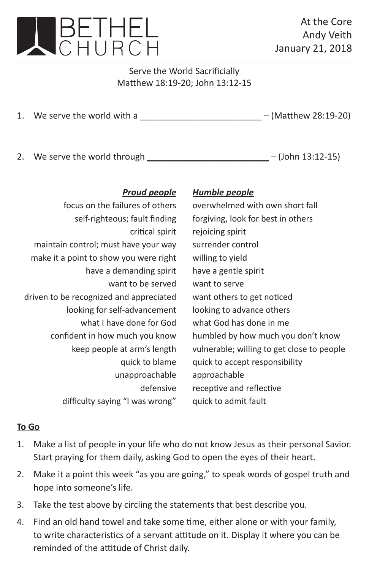

At the Core Andy Veith January 21, 2018

Serve the World Sacrificially Matthew 18:19-20; John 13:12-15

1. We serve the world with a  $\frac{1}{2}$  –  $\frac{1}{2}$  –  $\frac{1}{2}$  –  $\frac{1}{2}$  (Matthew 28:19-20)

2. We serve the world through \_\_\_\_\_\_\_\_\_\_\_\_\_\_\_\_\_\_\_\_\_\_\_\_\_ – (John 13:12-15)

## *Proud people Humble people*

| focus on the failures of others         | overwhelmed with own short fall            |
|-----------------------------------------|--------------------------------------------|
| self-righteous; fault finding           | forgiving, look for best in others         |
| critical spirit                         | rejoicing spirit                           |
| maintain control; must have your way    | surrender control                          |
| make it a point to show you were right  | willing to yield                           |
| have a demanding spirit                 | have a gentle spirit                       |
| want to be served                       | want to serve                              |
| driven to be recognized and appreciated | want others to get noticed                 |
| looking for self-advancement            | looking to advance others                  |
| what I have done for God                | what God has done in me                    |
| confident in how much you know          | humbled by how much you don't know         |
| keep people at arm's length             | vulnerable; willing to get close to people |
| quick to blame                          | quick to accept responsibility             |
| unapproachable                          | approachable                               |
| defensive                               | receptive and reflective                   |
| difficulty saying "I was wrong"         | quick to admit fault                       |

## **To Go**

- 1. Make a list of people in your life who do not know Jesus as their personal Savior. Start praying for them daily, asking God to open the eyes of their heart.
- 2. Make it a point this week "as you are going," to speak words of gospel truth and hope into someone's life.
- 3. Take the test above by circling the statements that best describe you.
- 4. Find an old hand towel and take some time, either alone or with your family, to write characteristics of a servant attitude on it. Display it where you can be reminded of the attitude of Christ daily.